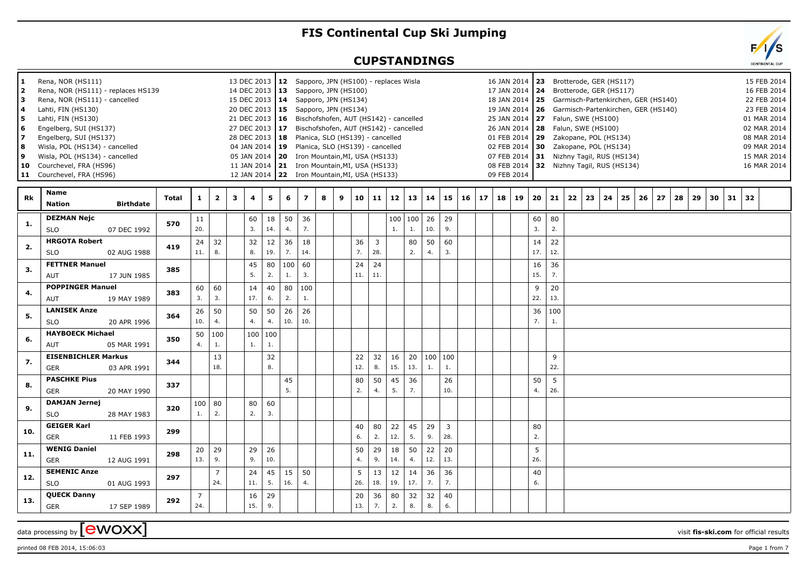## **FIS Continental Cup Ski Jumping**

## **CUPSTANDINGS**



 $\alpha$  data processing by  $\boxed{\text{ewOXX}}$ 

printed 08 FEB 2014, 15:06:03 Page 1 from 7

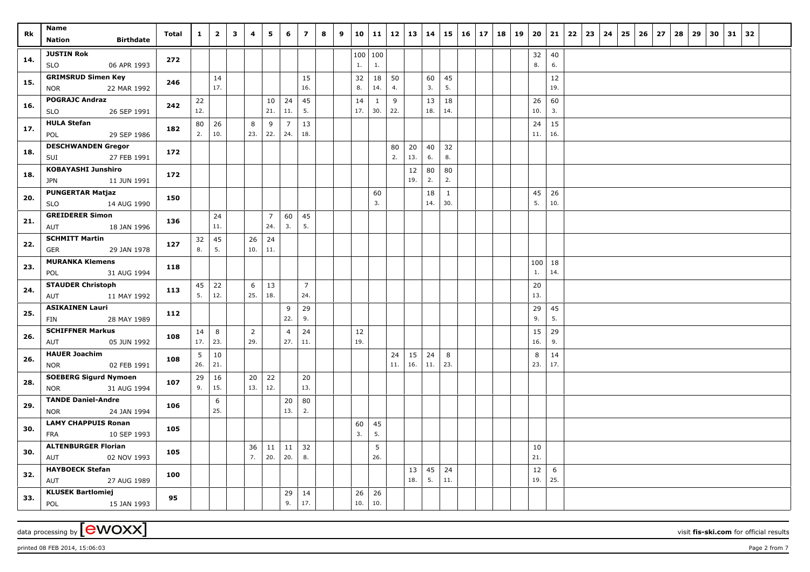| Rk  | Name<br><b>Birthdate</b><br><b>Nation</b>                                      | Total | $\mathbf{1}$ | $\overline{\mathbf{2}}$ | 3 | $\overline{a}$ | 5                     | 6                     | $\overline{z}$ | 8 | 9 | 10              | 11        | 12       | 13        | 14        | 15        | 16 | 17 | 18 19 | 20        | 21          | 22 | 23 | 24 | 26<br>25 | 27 | 28 | 29 | 30 | 31 | 32 |  |
|-----|--------------------------------------------------------------------------------|-------|--------------|-------------------------|---|----------------|-----------------------|-----------------------|----------------|---|---|-----------------|-----------|----------|-----------|-----------|-----------|----|----|-------|-----------|-------------|----|----|----|----------|----|----|----|----|----|----|--|
| 14. | <b>JUSTIN Rok</b><br><b>SLO</b><br>06 APR 1993                                 | 272   |              |                         |   |                |                       |                       |                |   |   | 100   100<br>1. | 1.        |          |           |           |           |    |    |       | 32<br>8.  | 40<br>6.    |    |    |    |          |    |    |    |    |    |    |  |
| 15. | <b>GRIMSRUD Simen Key</b><br>22 MAR 1992<br><b>NOR</b>                         | 246   |              | 14<br>17.               |   |                |                       |                       | 15<br>16.      |   |   | 32<br>8.        | 18<br>14. | 50<br>4. |           | 60<br>3.  | 45<br>5.  |    |    |       |           | 12<br>19.   |    |    |    |          |    |    |    |    |    |    |  |
| 16. | <b>POGRAJC Andraz</b><br>26 SEP 1991<br><b>SLO</b>                             | 242   | $22$<br>12.  |                         |   |                | 10<br>21.             | 24<br>11.             | 45<br>5.       |   |   | 14<br>17.       | 1<br>30.  | 9<br>22. |           | 13<br>18. | 18<br>14. |    |    |       | 26<br>10. | 60<br>3.    |    |    |    |          |    |    |    |    |    |    |  |
| 17. | <b>HULA Stefan</b><br>POL<br>29 SEP 1986                                       | 182   | 80<br>2.     | 26<br>10.               |   | 8<br>23.       | 9<br>22.              | $\overline{7}$<br>24. | 13<br>18.      |   |   |                 |           |          |           |           |           |    |    |       | 24<br>11. | 15<br>16.   |    |    |    |          |    |    |    |    |    |    |  |
| 18. | <b>DESCHWANDEN Gregor</b><br>27 FEB 1991<br>SUI                                | 172   |              |                         |   |                |                       |                       |                |   |   |                 |           | 80<br>2. | 20<br>13. | 40<br>6.  | 32<br>8.  |    |    |       |           |             |    |    |    |          |    |    |    |    |    |    |  |
| 18. | <b>KOBAYASHI Junshiro</b><br><b>JPN</b><br>11 JUN 1991                         | 172   |              |                         |   |                |                       |                       |                |   |   |                 |           |          | 12<br>19. | 80<br>2.  | 80<br>2.  |    |    |       |           |             |    |    |    |          |    |    |    |    |    |    |  |
| 20. | <b>PUNGERTAR Matjaz</b><br>14 AUG 1990<br><b>SLO</b><br><b>GREIDERER Simon</b> | 150   |              |                         |   |                |                       |                       |                |   |   |                 | 60<br>3.  |          |           | 18<br>14. | 1<br>30.  |    |    |       | 45<br>5.  | 26<br>$10.$ |    |    |    |          |    |    |    |    |    |    |  |
| 21. | 18 JAN 1996<br>AUT<br><b>SCHMITT Martin</b>                                    | 136   |              | 24<br>11.               |   |                | $\overline{7}$<br>24. | 60<br>3.              | 45<br>5.       |   |   |                 |           |          |           |           |           |    |    |       |           |             |    |    |    |          |    |    |    |    |    |    |  |
| 22. | 29 JAN 1978<br>GER<br><b>MURANKA Klemens</b>                                   | 127   | 32<br>8.     | 45<br>5.                |   | 26<br>10.      | 24<br>11.             |                       |                |   |   |                 |           |          |           |           |           |    |    |       | 100       | 18          |    |    |    |          |    |    |    |    |    |    |  |
| 23. | POL<br>31 AUG 1994<br><b>STAUDER Christoph</b>                                 | 118   | 45           | 22                      |   | 6              | 13                    |                       | $\overline{7}$ |   |   |                 |           |          |           |           |           |    |    |       | 1.<br>20  | 14.         |    |    |    |          |    |    |    |    |    |    |  |
| 24. | 11 MAY 1992<br>AUT<br><b>ASIKAINEN Lauri</b>                                   | 113   | 5.           | 12.                     |   | 25.            | 18.                   | 9                     | 24.<br>29      |   |   |                 |           |          |           |           |           |    |    |       | 13.<br>29 | 45          |    |    |    |          |    |    |    |    |    |    |  |
| 25. | 28 MAY 1989<br>FIN<br><b>SCHIFFNER Markus</b>                                  | 112   | 14           | 8                       |   | $\overline{2}$ |                       | 22.<br>$\overline{4}$ | 9.<br>24       |   |   | 12              |           |          |           |           |           |    |    |       | 9.<br>15  | 5.<br>29    |    |    |    |          |    |    |    |    |    |    |  |
| 26. | 05 JUN 1992<br>AUT<br><b>HAUER Joachim</b>                                     | 108   | 17.<br>5     | 23.<br>10               |   | 29.            |                       | 27.                   | 11.            |   |   | 19.             |           | 24       | 15        | 24        | 8         |    |    |       | 16.<br>8  | 9.<br>14    |    |    |    |          |    |    |    |    |    |    |  |
| 26. | 02 FEB 1991<br><b>NOR</b><br><b>SOEBERG Sigurd Nymoen</b>                      | 108   | 26.<br>29    | 21.<br>$16\,$           |   | 20             | 22                    |                       | 20             |   |   |                 |           | 11.      | 16.       | 11.       | 23.       |    |    |       | 23.       | 17.         |    |    |    |          |    |    |    |    |    |    |  |
| 28. | <b>NOR</b><br>31 AUG 1994<br><b>TANDE Daniel-Andre</b>                         | 107   | 9.           | 15.<br>6                |   | 13.            | 12.                   | 20                    | 13.<br>80      |   |   |                 |           |          |           |           |           |    |    |       |           |             |    |    |    |          |    |    |    |    |    |    |  |
| 29. | 24 JAN 1994<br><b>NOR</b><br><b>LAMY CHAPPUIS Ronan</b>                        | 106   |              | 25.                     |   |                |                       | 13.                   | 2.             |   |   | 60              | 45        |          |           |           |           |    |    |       |           |             |    |    |    |          |    |    |    |    |    |    |  |
| 30. | 10 SEP 1993<br><b>FRA</b><br><b>ALTENBURGER Florian</b>                        | 105   |              |                         |   | 36             | 11                    | 11                    | 32             |   |   | 3.              | 5.<br>5   |          |           |           |           |    |    |       | 10        |             |    |    |    |          |    |    |    |    |    |    |  |
| 30. | AUT<br>02 NOV 1993<br><b>HAYBOECK Stefan</b>                                   | 105   |              |                         |   | 7.             | 20.                   | 20.                   | 8.             |   |   |                 | 26.       |          | 13        | 45        | 24        |    |    |       | 21.<br>12 | 6           |    |    |    |          |    |    |    |    |    |    |  |
| 32. | AUT<br>27 AUG 1989<br><b>KLUSEK Bartlomiej</b>                                 | 100   |              |                         |   |                |                       | 29                    | 14             |   |   | 26              | 26        |          | 18.       | 5.        | 11.       |    |    |       | 19.       | 25.         |    |    |    |          |    |    |    |    |    |    |  |
| 33. | 15 JAN 1993<br>POL                                                             | 95    |              |                         |   |                |                       | 9.                    | 17.            |   |   | 10.             | 10.       |          |           |           |           |    |    |       |           |             |    |    |    |          |    |    |    |    |    |    |  |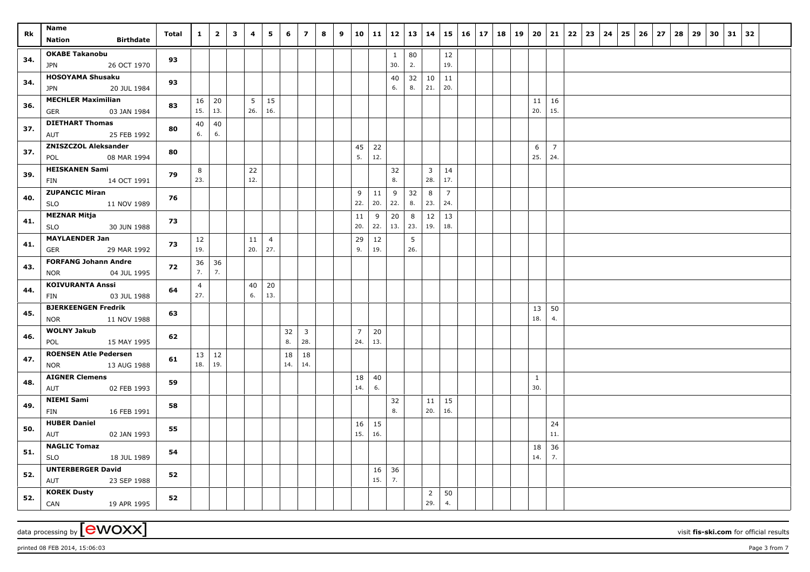| <b>Rk</b> | Name                                                      | Total | $\mathbf{1}$          | $\overline{\mathbf{2}}$ | $\mathbf{3}$ | $\overline{\mathbf{4}}$ | 5                     | 6         | $\overline{z}$        | 8 | $\mathbf{9}$ | 10 11                 |              |                     |          | $12$   13   14   15   16 |                       |  | 17   18   19   20 |           | 21             | 22 23 | $24 \mid 25$ | $26 \mid 27$ | 28 | 29 | 30 | $31 \mid 32$ |  |
|-----------|-----------------------------------------------------------|-------|-----------------------|-------------------------|--------------|-------------------------|-----------------------|-----------|-----------------------|---|--------------|-----------------------|--------------|---------------------|----------|--------------------------|-----------------------|--|-------------------|-----------|----------------|-------|--------------|--------------|----|----|----|--------------|--|
|           | <b>Nation</b><br><b>Birthdate</b>                         |       |                       |                         |              |                         |                       |           |                       |   |              |                       |              |                     |          |                          |                       |  |                   |           |                |       |              |              |    |    |    |              |  |
| 34.       | <b>OKABE Takanobu</b><br><b>JPN</b><br>26 OCT 1970        | 93    |                       |                         |              |                         |                       |           |                       |   |              |                       |              | $\mathbf{1}$<br>30. | 80<br>2. |                          | 12<br>19.             |  |                   |           |                |       |              |              |    |    |    |              |  |
| 34.       | <b>HOSOYAMA Shusaku</b><br>JPN<br>20 JUL 1984             | 93    |                       |                         |              |                         |                       |           |                       |   |              |                       |              | 40<br>6.            | 32<br>8. | 10<br>21.                | 11<br>20.             |  |                   |           |                |       |              |              |    |    |    |              |  |
| 36.       | <b>MECHLER Maximilian</b><br><b>GER</b><br>03 JAN 1984    | 83    | 16<br>15.             | 20<br>13.               |              | 5 <sup>5</sup><br>26.   | 15<br>16.             |           |                       |   |              |                       |              |                     |          |                          |                       |  |                   | 11<br>20. | 16<br>15.      |       |              |              |    |    |    |              |  |
| 37.       | <b>DIETHART Thomas</b>                                    | 80    | 40                    | 40                      |              |                         |                       |           |                       |   |              |                       |              |                     |          |                          |                       |  |                   |           |                |       |              |              |    |    |    |              |  |
| 37.       | 25 FEB 1992<br>AUT<br><b>ZNISZCZOL Aleksander</b>         | 80    | 6.                    | 6.                      |              |                         |                       |           |                       |   |              | 45                    | 22           |                     |          |                          |                       |  |                   | 6         | $\overline{7}$ |       |              |              |    |    |    |              |  |
|           | 08 MAR 1994<br>POL                                        |       |                       |                         |              |                         |                       |           |                       |   |              | 5.                    | 12.          |                     |          |                          |                       |  |                   | 25.       | 24.            |       |              |              |    |    |    |              |  |
| 39.       | <b>HEISKANEN Sami</b><br>14 OCT 1991<br>FIN               | 79    | 8<br>23.              |                         |              | 22<br>12.               |                       |           |                       |   |              |                       |              | 32<br>8.            |          | $\overline{3}$<br>28.    | 14<br>17.             |  |                   |           |                |       |              |              |    |    |    |              |  |
| 40.       | <b>ZUPANCIC Miran</b><br>11 NOV 1989<br><b>SLO</b>        | 76    |                       |                         |              |                         |                       |           |                       |   |              | 9<br>22.              | 11<br>20.    | 9<br>22.            | 32<br>8. | 8<br>23.                 | $\overline{7}$<br>24. |  |                   |           |                |       |              |              |    |    |    |              |  |
| 41.       | <b>MEZNAR Mitja</b><br><b>SLO</b><br>30 JUN 1988          | 73    |                       |                         |              |                         |                       |           |                       |   |              | 11<br>20.             | $\,9$<br>22. | 20<br>13.           | 8<br>23. | 12<br>19.                | 13<br>18.             |  |                   |           |                |       |              |              |    |    |    |              |  |
| 41.       | <b>MAYLAENDER Jan</b><br>29 MAR 1992<br>GER               | 73    | 12<br>19.             |                         |              | 11<br>20.               | $\overline{4}$<br>27. |           |                       |   |              | 29<br>9.              | 12<br>19.    |                     | 5<br>26. |                          |                       |  |                   |           |                |       |              |              |    |    |    |              |  |
| 43.       | <b>FORFANG Johann Andre</b><br>04 JUL 1995<br><b>NOR</b>  | 72    | 36<br>7.              | 36<br>7.                |              |                         |                       |           |                       |   |              |                       |              |                     |          |                          |                       |  |                   |           |                |       |              |              |    |    |    |              |  |
| 44.       | <b>KOIVURANTA Anssi</b><br>03 JUL 1988<br>FIN             | 64    | $\overline{4}$<br>27. |                         |              | 40<br>6.                | 20<br>13.             |           |                       |   |              |                       |              |                     |          |                          |                       |  |                   |           |                |       |              |              |    |    |    |              |  |
| 45.       | <b>BJERKEENGEN Fredrik</b><br><b>NOR</b><br>11 NOV 1988   | 63    |                       |                         |              |                         |                       |           |                       |   |              |                       |              |                     |          |                          |                       |  |                   | 13<br>18. | 50<br>4.       |       |              |              |    |    |    |              |  |
| 46.       | <b>WOLNY Jakub</b><br>POL<br>15 MAY 1995                  | 62    |                       |                         |              |                         |                       | 32<br>8.  | $\overline{3}$<br>28. |   |              | $\overline{7}$<br>24. | 20<br>13.    |                     |          |                          |                       |  |                   |           |                |       |              |              |    |    |    |              |  |
| 47.       | <b>ROENSEN Atle Pedersen</b><br>13 AUG 1988<br><b>NOR</b> | 61    | 13<br>18.             | 12<br>19.               |              |                         |                       | 18<br>14. | 18<br>14.             |   |              |                       |              |                     |          |                          |                       |  |                   |           |                |       |              |              |    |    |    |              |  |
| 48.       | <b>AIGNER Clemens</b><br>AUT<br>02 FEB 1993               | 59    |                       |                         |              |                         |                       |           |                       |   |              | 18<br>14.             | 40<br>6.     |                     |          |                          |                       |  |                   | 1<br>30.  |                |       |              |              |    |    |    |              |  |
| 49.       | <b>NIEMI Sami</b><br>16 FEB 1991<br>FIN                   | 58    |                       |                         |              |                         |                       |           |                       |   |              |                       |              | 32<br>8.            |          | 11<br>20.                | 15<br>16.             |  |                   |           |                |       |              |              |    |    |    |              |  |
| 50.       | <b>HUBER Daniel</b><br>AUT<br>02 JAN 1993                 | 55    |                       |                         |              |                         |                       |           |                       |   |              | 16<br>15.             | 15<br>16.    |                     |          |                          |                       |  |                   |           | 24<br>11.      |       |              |              |    |    |    |              |  |
| 51.       | <b>NAGLIC Tomaz</b><br><b>SLO</b><br>18 JUL 1989          | 54    |                       |                         |              |                         |                       |           |                       |   |              |                       |              |                     |          |                          |                       |  |                   | 18<br>14. | 36<br>7.       |       |              |              |    |    |    |              |  |
| 52.       | <b>UNTERBERGER David</b><br>AUT<br>23 SEP 1988            | 52    |                       |                         |              |                         |                       |           |                       |   |              |                       | 16<br>15.    | 36<br>7.            |          |                          |                       |  |                   |           |                |       |              |              |    |    |    |              |  |
| 52.       | <b>KOREK Dusty</b><br>19 APR 1995<br>CAN                  | 52    |                       |                         |              |                         |                       |           |                       |   |              |                       |              |                     |          | $\overline{2}$<br>29.    | 50<br>4.              |  |                   |           |                |       |              |              |    |    |    |              |  |

printed 08 FEB 2014, 15:06:03 **Page 3** from 7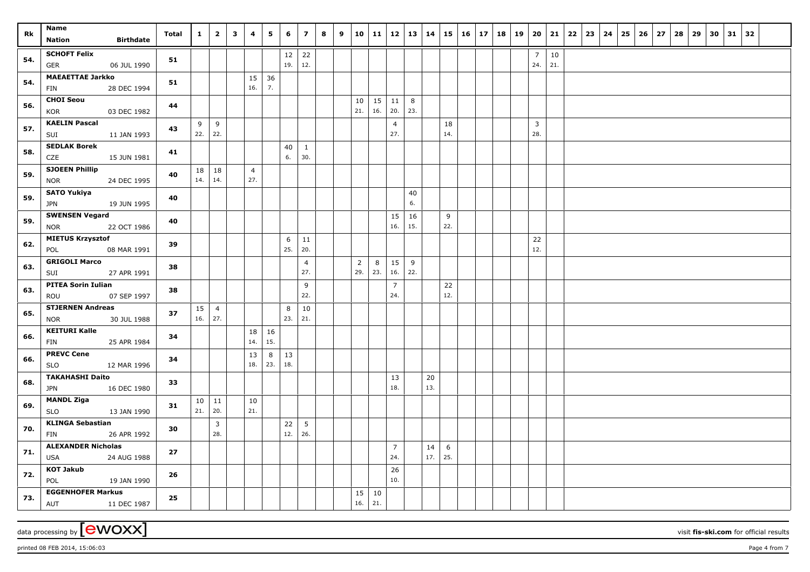| Rk         | Name<br><b>Birthdate</b><br><b>Nation</b>                                  | Total    | $\mathbf{1}$ | $\overline{\mathbf{2}}$ | $\mathbf{3}$ | 4                     | 5        | 6         | $\overline{z}$      | 8 | 9 | 10             | 11        | 12                    | $\vert$ 13     | 14        | 15        | 16 | $17$ 18 19 | 20                    | 21        | 22 | 23 | 24 | 25 | 26 | 27 | 28 | 29 | 30 | $31 \mid 32$ |  |
|------------|----------------------------------------------------------------------------|----------|--------------|-------------------------|--------------|-----------------------|----------|-----------|---------------------|---|---|----------------|-----------|-----------------------|----------------|-----------|-----------|----|------------|-----------------------|-----------|----|----|----|----|----|----|----|----|----|--------------|--|
| 54.        | <b>SCHOFT Felix</b><br><b>GER</b><br>06 JUL 1990                           | 51       |              |                         |              |                       |          | 12<br>19. | 22<br>12.           |   |   |                |           |                       |                |           |           |    |            | 7<br>24.              | 10<br>21. |    |    |    |    |    |    |    |    |    |              |  |
| 54.        | <b>MAEAETTAE Jarkko</b><br>FIN<br>28 DEC 1994                              | 51       |              |                         |              | 15<br>16.             | 36<br>7. |           |                     |   |   |                |           |                       |                |           |           |    |            |                       |           |    |    |    |    |    |    |    |    |    |              |  |
| 56.        | <b>CHOI Seou</b><br>03 DEC 1982<br>KOR                                     | 44       |              |                         |              |                       |          |           |                     |   |   | 10<br>21.      | 15<br>16. | 11<br>20.             | 8<br>23.       |           |           |    |            |                       |           |    |    |    |    |    |    |    |    |    |              |  |
| 57.        | <b>KAELIN Pascal</b><br>11 JAN 1993<br>SUI                                 | 43       | 9<br>22.     | 9<br>22.                |              |                       |          |           |                     |   |   |                |           | $\overline{4}$<br>27. |                |           | 18<br>14. |    |            | $\overline{3}$<br>28. |           |    |    |    |    |    |    |    |    |    |              |  |
| 58.        | <b>SEDLAK Borek</b><br>CZE<br>15 JUN 1981                                  | 41       |              |                         |              |                       |          | 40<br>6.  | $\mathbf{1}$<br>30. |   |   |                |           |                       |                |           |           |    |            |                       |           |    |    |    |    |    |    |    |    |    |              |  |
| 59.        | <b>SJOEEN Phillip</b><br>24 DEC 1995<br><b>NOR</b><br><b>SATO Yukiya</b>   | 40       | 18<br>14.    | 18<br>14.               |              | $\overline{4}$<br>27. |          |           |                     |   |   |                |           |                       |                |           |           |    |            |                       |           |    |    |    |    |    |    |    |    |    |              |  |
| 59.        | 19 JUN 1995<br><b>JPN</b><br><b>SWENSEN Vegard</b>                         | 40       |              |                         |              |                       |          |           |                     |   |   |                |           | 15                    | 40<br>6.<br>16 |           | 9         |    |            |                       |           |    |    |    |    |    |    |    |    |    |              |  |
| 59.        | 22 OCT 1986<br><b>NOR</b><br><b>MIETUS Krzysztof</b>                       | 40       |              |                         |              |                       |          | 6         | 11                  |   |   |                |           | 16.                   | 15.            |           | 22.       |    |            | 22                    |           |    |    |    |    |    |    |    |    |    |              |  |
| 62.        | 08 MAR 1991<br>POL<br><b>GRIGOLI Marco</b>                                 | 39       |              |                         |              |                       |          | 25.       | 20.<br>4            |   |   | $\overline{2}$ | 8         | 15                    | 9              |           |           |    |            | 12.                   |           |    |    |    |    |    |    |    |    |    |              |  |
| 63.        | SUI<br>27 APR 1991<br><b>PITEA Sorin Iulian</b>                            | 38       |              |                         |              |                       |          |           | 27.<br>9            |   |   | 29.            | 23.       | 16.<br>$\overline{7}$ | 22.            |           | 22        |    |            |                       |           |    |    |    |    |    |    |    |    |    |              |  |
| 63.        | ROU<br>07 SEP 1997<br><b>STJERNEN Andreas</b>                              | 38<br>37 | 15           | $\overline{4}$          |              |                       |          | 8         | 22.<br>10           |   |   |                |           | 24.                   |                |           | 12.       |    |            |                       |           |    |    |    |    |    |    |    |    |    |              |  |
| 65.<br>66. | 30 JUL 1988<br><b>NOR</b><br><b>KEITURI Kalle</b>                          | 34       | 16.          | 27.                     |              | 18                    | 16       | 23.       | 21.                 |   |   |                |           |                       |                |           |           |    |            |                       |           |    |    |    |    |    |    |    |    |    |              |  |
| 66.        | 25 APR 1984<br>FIN<br><b>PREVC Cene</b>                                    | 34       |              |                         |              | 14.<br>13             | 15.<br>8 | 13        |                     |   |   |                |           |                       |                |           |           |    |            |                       |           |    |    |    |    |    |    |    |    |    |              |  |
| 68.        | <b>SLO</b><br>12 MAR 1996<br><b>TAKAHASHI Daito</b>                        | 33       |              |                         |              | 18.                   | 23.      | 18.       |                     |   |   |                |           | 13                    |                | 20        |           |    |            |                       |           |    |    |    |    |    |    |    |    |    |              |  |
| 69.        | <b>JPN</b><br>16 DEC 1980<br><b>MANDL Ziga</b>                             | 31       | 10<br>21.    | 11<br>20.               |              | 10<br>21.             |          |           |                     |   |   |                |           | 18.                   |                | 13.       |           |    |            |                       |           |    |    |    |    |    |    |    |    |    |              |  |
| 70.        | 13 JAN 1990<br><b>SLO</b><br><b>KLINGA Sebastian</b><br>26 APR 1992<br>FIN | 30       |              | $\overline{3}$<br>28.   |              |                       |          | 22<br>12. | 5<br>26.            |   |   |                |           |                       |                |           |           |    |            |                       |           |    |    |    |    |    |    |    |    |    |              |  |
| 71.        | <b>ALEXANDER Nicholas</b><br>24 AUG 1988<br>USA                            | 27       |              |                         |              |                       |          |           |                     |   |   |                |           | $\overline{7}$<br>24. |                | 14<br>17. | 6<br>25.  |    |            |                       |           |    |    |    |    |    |    |    |    |    |              |  |
| 72.        | <b>KOT Jakub</b><br>POL<br>19 JAN 1990                                     | 26       |              |                         |              |                       |          |           |                     |   |   |                |           | 26<br>10.             |                |           |           |    |            |                       |           |    |    |    |    |    |    |    |    |    |              |  |
| 73.        | <b>EGGENHOFER Markus</b><br>AUT<br>11 DEC 1987                             | 25       |              |                         |              |                       |          |           |                     |   |   | 15<br>16.      | 10<br>21. |                       |                |           |           |    |            |                       |           |    |    |    |    |    |    |    |    |    |              |  |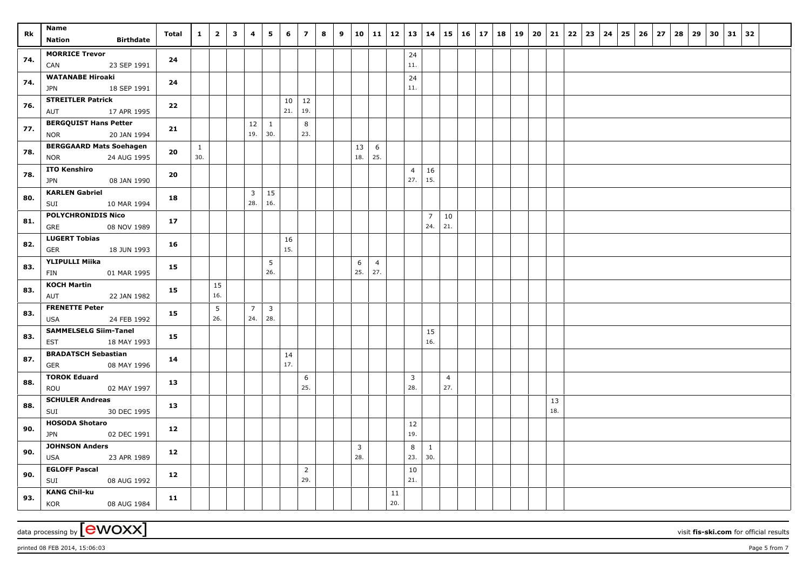| Rk  | Name                                                        | Total           | $\mathbf{1}$        | $\overline{2}$         | $\mathbf{3}$ | 4                     | 5                     | 6         | $\overline{7}$        | 8 | 9 |                       | $10 \mid 11 \mid 12$  |           | $\vert 13 \vert 14$   |                       |                       | $15 \mid 16$ | $17 \mid 18 \mid 19$ | 20 |           | 21   22   23 | $24$ 25 | $26 \mid 27$ | 28 | 29 | 30 | $31 \mid 32$ |  |  |
|-----|-------------------------------------------------------------|-----------------|---------------------|------------------------|--------------|-----------------------|-----------------------|-----------|-----------------------|---|---|-----------------------|-----------------------|-----------|-----------------------|-----------------------|-----------------------|--------------|----------------------|----|-----------|--------------|---------|--------------|----|----|----|--------------|--|--|
|     | <b>Birthdate</b><br><b>Nation</b>                           |                 |                     |                        |              |                       |                       |           |                       |   |   |                       |                       |           |                       |                       |                       |              |                      |    |           |              |         |              |    |    |    |              |  |  |
| 74. | <b>MORRICE Trevor</b><br>CAN<br>23 SEP 1991                 | 24              |                     |                        |              |                       |                       |           |                       |   |   |                       |                       |           | 24<br>11.             |                       |                       |              |                      |    |           |              |         |              |    |    |    |              |  |  |
| 74. | <b>WATANABE Hiroaki</b><br><b>JPN</b><br>18 SEP 1991        | 24              |                     |                        |              |                       |                       |           |                       |   |   |                       |                       |           | 24<br>11.             |                       |                       |              |                      |    |           |              |         |              |    |    |    |              |  |  |
| 76. | <b>STREITLER Patrick</b><br>17 APR 1995<br>AUT              | 22              |                     |                        |              |                       |                       | 10<br>21. | 12<br>19.             |   |   |                       |                       |           |                       |                       |                       |              |                      |    |           |              |         |              |    |    |    |              |  |  |
| 77. | <b>BERGQUIST Hans Petter</b><br><b>NOR</b><br>20 JAN 1994   | 21              |                     |                        |              | 12<br>19.             | $\mathbf{1}$<br>30.   |           | 8<br>23.              |   |   |                       |                       |           |                       |                       |                       |              |                      |    |           |              |         |              |    |    |    |              |  |  |
| 78. | <b>BERGGAARD Mats Soehagen</b><br><b>NOR</b><br>24 AUG 1995 | 20              | $\mathbf{1}$<br>30. |                        |              |                       |                       |           |                       |   |   | 13<br>18.             | 6<br>25.              |           |                       |                       |                       |              |                      |    |           |              |         |              |    |    |    |              |  |  |
| 78. | <b>ITO Kenshiro</b><br>08 JAN 1990<br>JPN                   | 20              |                     |                        |              |                       |                       |           |                       |   |   |                       |                       |           | $\overline{4}$<br>27. | 16<br>15.             |                       |              |                      |    |           |              |         |              |    |    |    |              |  |  |
| 80. | <b>KARLEN Gabriel</b><br>SUI<br>10 MAR 1994                 | 18              |                     |                        |              | $\overline{3}$<br>28. | 15<br>16.             |           |                       |   |   |                       |                       |           |                       |                       |                       |              |                      |    |           |              |         |              |    |    |    |              |  |  |
| 81. | <b>POLYCHRONIDIS Nico</b><br>GRE<br>08 NOV 1989             | 17 <sub>2</sub> |                     |                        |              |                       |                       |           |                       |   |   |                       |                       |           |                       | $\overline{7}$<br>24. | 10<br>21.             |              |                      |    |           |              |         |              |    |    |    |              |  |  |
| 82. | <b>LUGERT Tobias</b><br>GER<br>18 JUN 1993                  | 16              |                     |                        |              |                       |                       | 16<br>15. |                       |   |   |                       |                       |           |                       |                       |                       |              |                      |    |           |              |         |              |    |    |    |              |  |  |
| 83. | <b>YLIPULLI Miika</b><br>01 MAR 1995<br>FIN                 | 15              |                     |                        |              |                       | 5<br>26.              |           |                       |   |   | 6<br>25.              | $\overline{4}$<br>27. |           |                       |                       |                       |              |                      |    |           |              |         |              |    |    |    |              |  |  |
| 83. | <b>KOCH Martin</b><br>AUT<br>22 JAN 1982                    | 15              |                     | 15<br>16.              |              |                       |                       |           |                       |   |   |                       |                       |           |                       |                       |                       |              |                      |    |           |              |         |              |    |    |    |              |  |  |
| 83. | <b>FRENETTE Peter</b><br>24 FEB 1992<br><b>USA</b>          | 15              |                     | $5\phantom{.0}$<br>26. |              | $\overline{7}$<br>24. | $\overline{3}$<br>28. |           |                       |   |   |                       |                       |           |                       |                       |                       |              |                      |    |           |              |         |              |    |    |    |              |  |  |
| 83. | <b>SAMMELSELG Siim-Tanel</b><br>18 MAY 1993<br>EST          | 15              |                     |                        |              |                       |                       |           |                       |   |   |                       |                       |           |                       | 15<br>16.             |                       |              |                      |    |           |              |         |              |    |    |    |              |  |  |
| 87. | <b>BRADATSCH Sebastian</b><br><b>GER</b><br>08 MAY 1996     | 14              |                     |                        |              |                       |                       | 14<br>17. |                       |   |   |                       |                       |           |                       |                       |                       |              |                      |    |           |              |         |              |    |    |    |              |  |  |
| 88. | <b>TOROK Eduard</b><br>ROU<br>02 MAY 1997                   | 13              |                     |                        |              |                       |                       |           | 6<br>25.              |   |   |                       |                       |           | 3<br>28.              |                       | $\overline{4}$<br>27. |              |                      |    |           |              |         |              |    |    |    |              |  |  |
| 88. | <b>SCHULER Andreas</b><br>30 DEC 1995<br>SUI                | 13              |                     |                        |              |                       |                       |           |                       |   |   |                       |                       |           |                       |                       |                       |              |                      |    | 13<br>18. |              |         |              |    |    |    |              |  |  |
| 90. | <b>HOSODA Shotaro</b><br>02 DEC 1991<br>JPN                 | 12              |                     |                        |              |                       |                       |           |                       |   |   |                       |                       |           | 12<br>19.             |                       |                       |              |                      |    |           |              |         |              |    |    |    |              |  |  |
| 90. | <b>JOHNSON Anders</b><br>23 APR 1989<br><b>USA</b>          | 12              |                     |                        |              |                       |                       |           |                       |   |   | $\overline{3}$<br>28. |                       |           | 8<br>23.              | 1<br>30.              |                       |              |                      |    |           |              |         |              |    |    |    |              |  |  |
| 90. | <b>EGLOFF Pascal</b><br>SUI<br>08 AUG 1992                  | 12              |                     |                        |              |                       |                       |           | $\overline{2}$<br>29. |   |   |                       |                       |           | 10<br>21.             |                       |                       |              |                      |    |           |              |         |              |    |    |    |              |  |  |
| 93. | <b>KANG Chil-ku</b><br>KOR<br>08 AUG 1984                   | 11              |                     |                        |              |                       |                       |           |                       |   |   |                       |                       | 11<br>20. |                       |                       |                       |              |                      |    |           |              |         |              |    |    |    |              |  |  |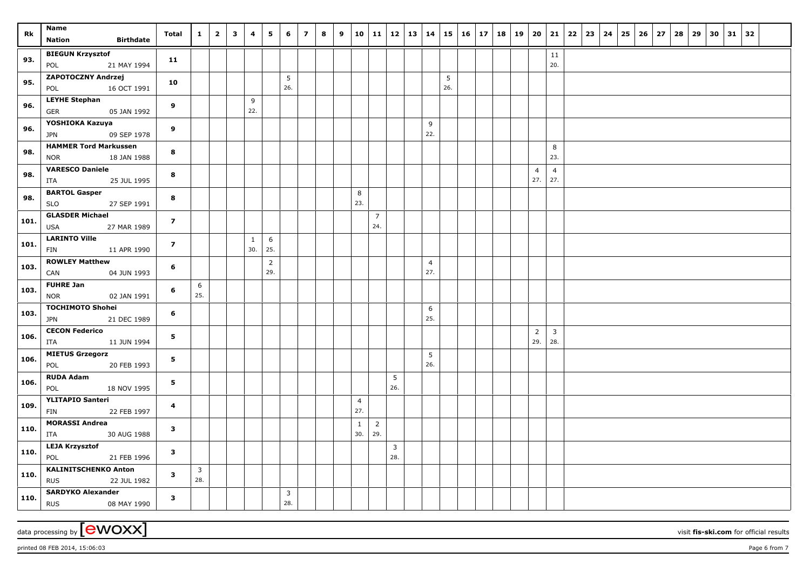| Rk   | Name<br><b>Birthdate</b><br><b>Nation</b>                           | Total                   | $\mathbf{1}$   | $\overline{\mathbf{2}}$ | $\mathbf{3}$ | 4                   | 5                     | 6        | $\overline{z}$ | 8 | 9 | 10                  | 11                    | 12           | $\vert$ 13 | 14       | 15       | 16 | 17   18   19 | 20             | 21                      | 22 | 23 | 24 | 25 | $26 \mid 27$ | 28 | 29 | 30 | $31 \mid 32$ |  |
|------|---------------------------------------------------------------------|-------------------------|----------------|-------------------------|--------------|---------------------|-----------------------|----------|----------------|---|---|---------------------|-----------------------|--------------|------------|----------|----------|----|--------------|----------------|-------------------------|----|----|----|----|--------------|----|----|----|--------------|--|
| 93.  | <b>BIEGUN Krzysztof</b><br>21 MAY 1994<br>POL                       | 11                      |                |                         |              |                     |                       |          |                |   |   |                     |                       |              |            |          |          |    |              |                | 11<br>20.               |    |    |    |    |              |    |    |    |              |  |
| 95.  | ZAPOTOCZNY Andrzej<br>POL<br>16 OCT 1991                            | 10                      |                |                         |              |                     |                       | 5<br>26. |                |   |   |                     |                       |              |            |          | 5<br>26. |    |              |                |                         |    |    |    |    |              |    |    |    |              |  |
| 96.  | <b>LEYHE Stephan</b><br>05 JAN 1992<br><b>GER</b>                   | 9                       |                |                         |              | 9<br>22.            |                       |          |                |   |   |                     |                       |              |            |          |          |    |              |                |                         |    |    |    |    |              |    |    |    |              |  |
| 96.  | YOSHIOKA Kazuya<br>09 SEP 1978<br>JPN                               | 9                       |                |                         |              |                     |                       |          |                |   |   |                     |                       |              |            | 9<br>22. |          |    |              |                |                         |    |    |    |    |              |    |    |    |              |  |
| 98.  | <b>HAMMER Tord Markussen</b><br><b>NOR</b><br>18 JAN 1988           | 8                       |                |                         |              |                     |                       |          |                |   |   |                     |                       |              |            |          |          |    |              |                | 8<br>23.                |    |    |    |    |              |    |    |    |              |  |
| 98.  | <b>VARESCO Daniele</b><br>ITA<br>25 JUL 1995                        | 8                       |                |                         |              |                     |                       |          |                |   |   |                     |                       |              |            |          |          |    |              | 4<br>27.       | $\overline{4}$<br>27.   |    |    |    |    |              |    |    |    |              |  |
| 98.  | <b>BARTOL Gasper</b><br>27 SEP 1991<br>SLO                          | 8                       |                |                         |              |                     |                       |          |                |   |   | 8<br>23.            |                       |              |            |          |          |    |              |                |                         |    |    |    |    |              |    |    |    |              |  |
| 101. | <b>GLASDER Michael</b><br>27 MAR 1989<br>USA                        | $\overline{z}$          |                |                         |              |                     |                       |          |                |   |   |                     | $\overline{7}$<br>24. |              |            |          |          |    |              |                |                         |    |    |    |    |              |    |    |    |              |  |
| 101. | <b>LARINTO Ville</b><br>FIN<br>11 APR 1990<br><b>ROWLEY Matthew</b> | $\overline{z}$          |                |                         |              | $\mathbf{1}$<br>30. | 6<br>25.              |          |                |   |   |                     |                       |              |            |          |          |    |              |                |                         |    |    |    |    |              |    |    |    |              |  |
| 103. | CAN<br>04 JUN 1993<br><b>FUHRE Jan</b>                              | 6                       |                |                         |              |                     | $\overline{2}$<br>29. |          |                |   |   |                     |                       |              |            | 4<br>27. |          |    |              |                |                         |    |    |    |    |              |    |    |    |              |  |
| 103. | <b>NOR</b><br>02 JAN 1991<br><b>TOCHIMOTO Shohei</b>                | 6                       | 6<br>25.       |                         |              |                     |                       |          |                |   |   |                     |                       |              |            | 6        |          |    |              |                |                         |    |    |    |    |              |    |    |    |              |  |
| 103. | 21 DEC 1989<br><b>JPN</b><br><b>CECON Federico</b>                  | 6                       |                |                         |              |                     |                       |          |                |   |   |                     |                       |              |            | 25.      |          |    |              | $\overline{2}$ | $\overline{\mathbf{3}}$ |    |    |    |    |              |    |    |    |              |  |
| 106. | ITA<br>11 JUN 1994<br><b>MIETUS Grzegorz</b>                        | 5                       |                |                         |              |                     |                       |          |                |   |   |                     |                       |              |            | 5        |          |    |              | 29.            | 28.                     |    |    |    |    |              |    |    |    |              |  |
| 106. | POL<br>20 FEB 1993<br><b>RUDA Adam</b>                              | 5                       |                |                         |              |                     |                       |          |                |   |   |                     |                       | 5            |            | 26.      |          |    |              |                |                         |    |    |    |    |              |    |    |    |              |  |
| 106. | POL<br>18 NOV 1995<br><b>YLITAPIO Santeri</b>                       | 5                       |                |                         |              |                     |                       |          |                |   |   | $\overline{4}$      |                       | 26.          |            |          |          |    |              |                |                         |    |    |    |    |              |    |    |    |              |  |
| 109. | 22 FEB 1997<br>FIN<br><b>MORASSI Andrea</b>                         | $\overline{\mathbf{4}}$ |                |                         |              |                     |                       |          |                |   |   | 27.<br>$\mathbf{1}$ | $\overline{2}$        |              |            |          |          |    |              |                |                         |    |    |    |    |              |    |    |    |              |  |
| 110. | 30 AUG 1988<br>ITA<br><b>LEJA Krzysztof</b>                         | $\mathbf{3}$            |                |                         |              |                     |                       |          |                |   |   | 30.                 | 29.                   | $\mathbf{3}$ |            |          |          |    |              |                |                         |    |    |    |    |              |    |    |    |              |  |
| 110. | POL<br>21 FEB 1996<br><b>KALINITSCHENKO Anton</b>                   | $\overline{\mathbf{3}}$ | $\overline{3}$ |                         |              |                     |                       |          |                |   |   |                     |                       | 28.          |            |          |          |    |              |                |                         |    |    |    |    |              |    |    |    |              |  |
| 110. | <b>RUS</b><br>22 JUL 1982                                           | $\mathbf{3}$            | 28.            |                         |              |                     |                       |          |                |   |   |                     |                       |              |            |          |          |    |              |                |                         |    |    |    |    |              |    |    |    |              |  |
| 110. | <b>SARDYKO Alexander</b><br><b>RUS</b><br>08 MAY 1990               | $\mathbf{3}$            |                |                         |              |                     |                       | 3<br>28. |                |   |   |                     |                       |              |            |          |          |    |              |                |                         |    |    |    |    |              |    |    |    |              |  |